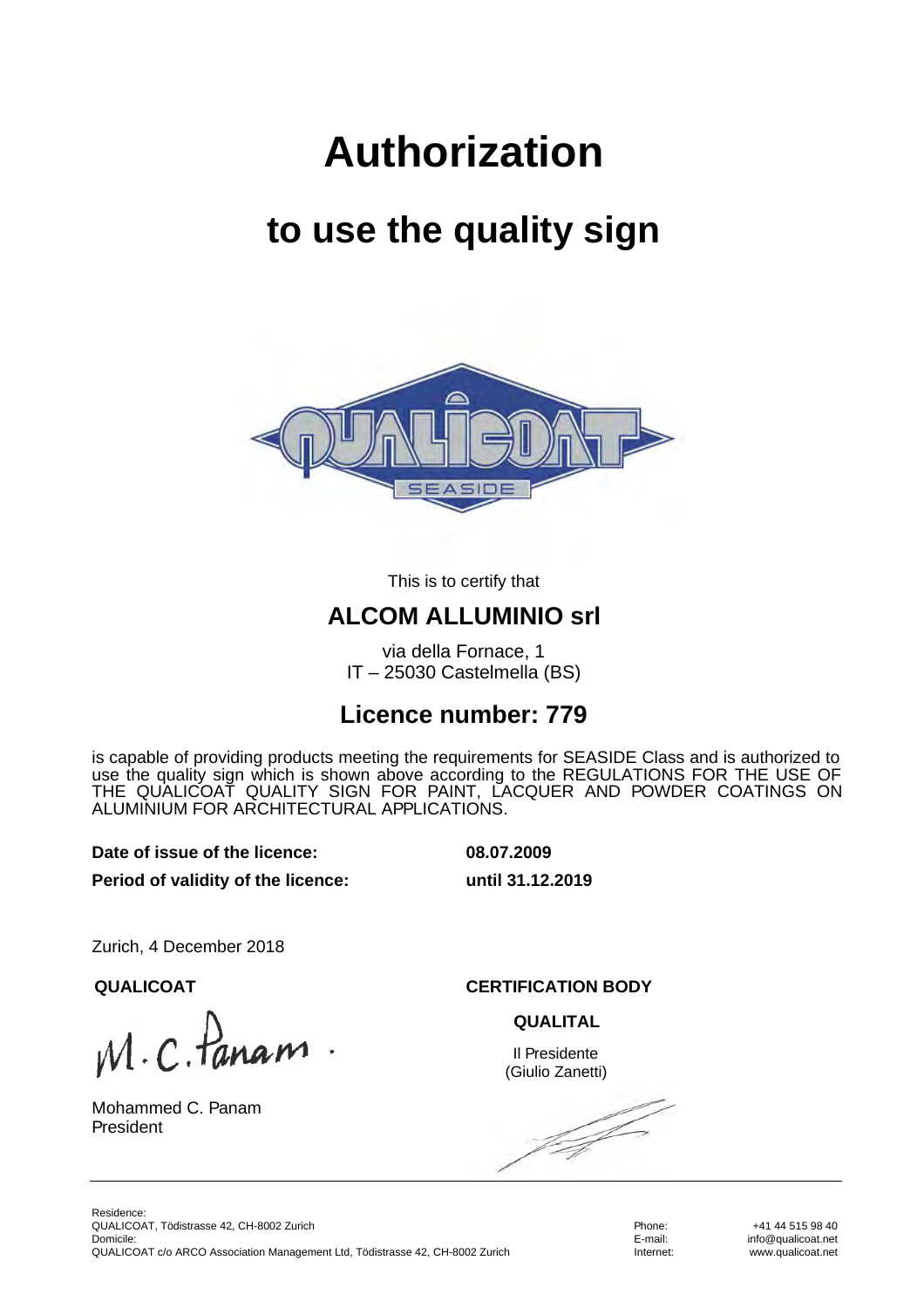# **Authorization**

## **to use the quality sign**



This is to certify that

#### **ALCOM ALLUMINIO srl**

via della Fornace, 1 IT – 25030 Castelmella (BS)

#### **Licence number: 779**

is capable of providing products meeting the requirements for SEASIDE Class and is authorized to use the quality sign which is shown above according to the REGULATIONS FOR THE USE OF THE QUALICOAT QUALITY SIGN FOR PAINT, LACQUER AND POWDER COATINGS ON ALUMINIUM FOR ARCHITECTURAL APPLICATIONS.

**Date of issue of the licence: 08.07.2009**

**Period of validity of the licence: until 31.12.2019**

Zurich, 4 December 2018

 $M.C.$  Pane

Mohammed C. Panam President

**QUALICOAT CERTIFICATION BODY**

**QUALITAL**

Il Presidente (Giulio Zanetti)

f f

Phone: E-mail: Internet:

+41 44 515 98 40 info@qualicoat.net www.qualicoat.net